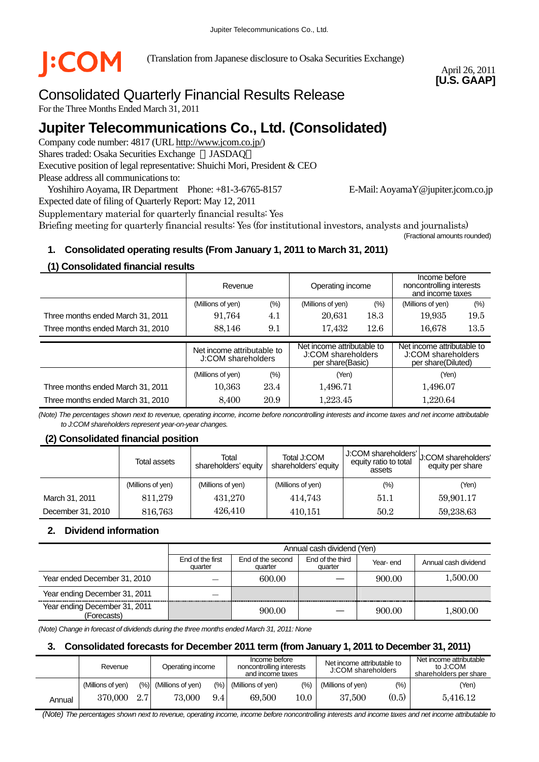

(Translation from Japanese disclosure to Osaka Securities Exchange)

April 26, 2011 **[U.S. GAAP]** 

# Consolidated Quarterly Financial Results Release

For the Three Months Ended March 31, 2011

# **Jupiter Telecommunications Co., Ltd. (Consolidated)**

Company code number: 4817 (URL http://www.jcom.co.jp/) Shares traded: Osaka Securities Exchange JASDAQ Executive position of legal representative: Shuichi Mori, President & CEO Please address all communications to:

Yoshihiro Aoyama, IR Department Phone: +81-3-6765-8157 E-Mail: AoyamaY@jupiter.jcom.co.jp

Expected date of filing of Quarterly Report: May 12, 2011

Supplementary material for quarterly financial results: Yes Briefing meeting for quarterly financial results: Yes (for institutional investors, analysts and journalists) (Fractional amounts rounded)

## **1. Consolidated operating results (From January 1, 2011 to March 31, 2011)**

### **(1) Consolidated financial results**

|                                   | Revenue                                          |      | Operating income                                                     |        | Income before<br>noncontrolling interests<br>and income taxes          |      |
|-----------------------------------|--------------------------------------------------|------|----------------------------------------------------------------------|--------|------------------------------------------------------------------------|------|
|                                   | (%)<br>(Millions of yen)                         |      | (Millions of yen)                                                    | $(\%)$ | (Millions of yen)                                                      | (%)  |
| Three months ended March 31, 2011 | 91,764                                           | 4.1  | 20,631                                                               | 18.3   | 19,935                                                                 | 19.5 |
| Three months ended March 31, 2010 | 88.146                                           | 9.1  | 17,432                                                               | 12.6   | 16.678                                                                 | 13.5 |
|                                   |                                                  |      |                                                                      |        |                                                                        |      |
|                                   | Net income attributable to<br>J:COM shareholders |      | Net income attributable to<br>J:COM shareholders<br>per share(Basic) |        | Net income attributable to<br>J:COM shareholders<br>per share(Diluted) |      |
|                                   | (Millions of yen)                                | (%)  | (Yen)                                                                |        | (Yen)                                                                  |      |
| Three months ended March 31, 2011 | 10,363                                           | 23.4 | 1,496.71                                                             |        | 1,496.07                                                               |      |

*(Note) The percentages shown next to revenue, operating income, income before noncontrolling interests and income taxes and net income attributable to J:COM shareholders represent year-on-year changes.* 

## **(2) Consolidated financial position**

|                   | Total assets      | Total<br>shareholders' equity | Total J:COM<br>shareholders' equity | J:COM shareholders'<br>equity ratio to total<br>assets | U:COM shareholders'<br>equity per share |
|-------------------|-------------------|-------------------------------|-------------------------------------|--------------------------------------------------------|-----------------------------------------|
|                   | (Millions of yen) | (Millions of yen)             | (Millions of yen)                   | $(\% )$                                                | (Yen)                                   |
| March 31, 2011    | 811.279           | 431.270                       | 414,743                             | 51.1                                                   | 59,901.17                               |
| December 31, 2010 | 816,763           | 426,410                       | 410,151                             | 50.2                                                   | 59,238.63                               |

#### **2. Dividend information**

|                                              |                             | Annual cash dividend (Yen)   |                             |          |                      |  |  |
|----------------------------------------------|-----------------------------|------------------------------|-----------------------------|----------|----------------------|--|--|
|                                              | End of the first<br>quarter | End of the second<br>quarter | End of the third<br>quarter | Year-end | Annual cash dividend |  |  |
| Year ended December 31, 2010                 |                             | 600.00                       |                             | 900.00   | 1,500.00             |  |  |
| Year ending December 31, 2011                |                             |                              |                             |          |                      |  |  |
| Year ending December 31, 2011<br>(Forecasts) |                             | 900.00                       |                             | 900.00   | 1,800.00             |  |  |

*(Note) Change in forecast of dividends during the three months ended March 31, 2011: None*

#### **3. Consolidated forecasts for December 2011 term (from January 1, 2011 to December 31, 2011)**

|        | Revenue           |     | Operating income      |        | Income before<br>noncontrolling interests<br>and income taxes |      | Net income attributable to<br>J:COM shareholders |       | Net income attributable<br>to J:COM<br>shareholders per share |  |
|--------|-------------------|-----|-----------------------|--------|---------------------------------------------------------------|------|--------------------------------------------------|-------|---------------------------------------------------------------|--|
|        | (Millions of ven) |     | (%) (Millions of yen) | $(\%)$ | (Millions of ven)                                             | (%)  | (Millions of yen)                                | (% )  | (Yen)                                                         |  |
| Annual | 370,000           | 2.7 | 73.000                | 9.4    | 69.500                                                        | 10.0 | 37,500                                           | (0.5) | 5.416.12                                                      |  |

 *(Note) The percentages shown next to revenue, operating income, income before noncontrolling interests and income taxes and net income attributable to*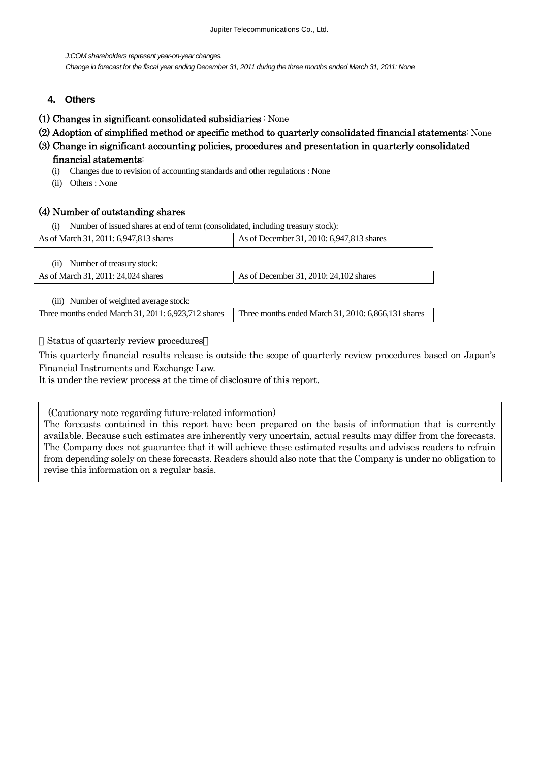*J:COM shareholders represent year-on-year changes.* 

*Change in forecast for the fiscal year ending December 31, 2011 during the three months ended March 31, 2011: None*

- **4. Others**
- (1) Changes in significant consolidated subsidiaries : None
- (2) Adoption of simplified method or specific method to quarterly consolidated financial statements: None
- (3) Change in significant accounting policies, procedures and presentation in quarterly consolidated financial statements:
	- (i) Changes due to revision of accounting standards and other regulations : None
	- (ii) Others : None

### (4) Number of outstanding shares

(i) Number of issued shares at end of term (consolidated, including treasury stock):

| As of March 31, 2011: 6,947,813 shares  | As of December 31, 2010: 6,947,813 shares |
|-----------------------------------------|-------------------------------------------|
| Number of treasury stock:<br>(i)        |                                           |
| As of March 31, 2011: 24,024 shares     | As of December 31, 2010: 24, 102 shares   |
| (iii) Number of weighted average stock: |                                           |

Three months ended March 31, 2011:  $6.923,712$  shares Three months ended March 31, 2010:  $6.866,131$  shares

Status of quarterly review procedures

This quarterly financial results release is outside the scope of quarterly review procedures based on Japan's Financial Instruments and Exchange Law.

It is under the review process at the time of disclosure of this report.

(Cautionary note regarding future-related information)

The forecasts contained in this report have been prepared on the basis of information that is currently available. Because such estimates are inherently very uncertain, actual results may differ from the forecasts. The Company does not guarantee that it will achieve these estimated results and advises readers to refrain from depending solely on these forecasts. Readers should also note that the Company is under no obligation to revise this information on a regular basis.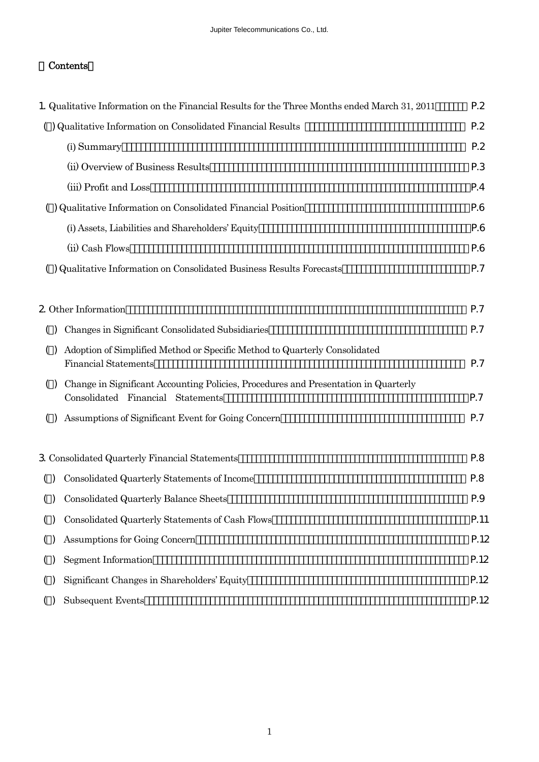# Contents

|                        | 1. Qualitative Information on the Financial Results for the Three Months ended March 31, 2011                            | P.2  |
|------------------------|--------------------------------------------------------------------------------------------------------------------------|------|
|                        | () Qualitative Information on Consolidated Financial Results                                                             | P.2  |
|                        | (i) Summary                                                                                                              | P.2  |
|                        | (ii) Overview of Business Results                                                                                        | P.3  |
|                        | (iii) Profit and Loss                                                                                                    | P.4  |
|                        | () Qualitative Information on Consolidated Financial Position                                                            | P.6  |
|                        | (i) Assets, Liabilities and Shareholders' Equity                                                                         | P.6  |
|                        | (ii) Cash Flows                                                                                                          | P.6  |
|                        | () Qualitative Information on Consolidated Business Results Forecasts                                                    | P.7  |
|                        |                                                                                                                          |      |
|                        | 2 Other Information                                                                                                      | P.7  |
| ( )                    | Changes in Significant Consolidated Subsidiaries                                                                         | P.7  |
| ( )                    | Adoption of Simplified Method or Specific Method to Quarterly Consolidated<br><b>Financial Statements</b>                | P.7  |
| $\left( \quad \right)$ | Change in Significant Accounting Policies, Procedures and Presentation in Quarterly<br>Consolidated Financial Statements | P.7  |
|                        | Assumptions of Significant Event for Going Concern                                                                       | P.7  |
|                        | 3 Consolidated Quarterly Financial Statements                                                                            | P.8  |
| ( )                    | Consolidated Quarterly Statements of Income                                                                              | P.8  |
| ( )                    | Consolidated Quarterly Balance Sheets                                                                                    | P.9  |
| ( )                    | Consolidated Quarterly Statements of Cash Flows                                                                          | P.11 |
| ( )                    | Assumptions for Going Concern                                                                                            | P.12 |
| ( )                    | Segment Information                                                                                                      | P.12 |
| ( )                    | Significant Changes in Shareholders' Equity                                                                              | P.12 |
|                        | <b>Subsequent Events</b>                                                                                                 | P.12 |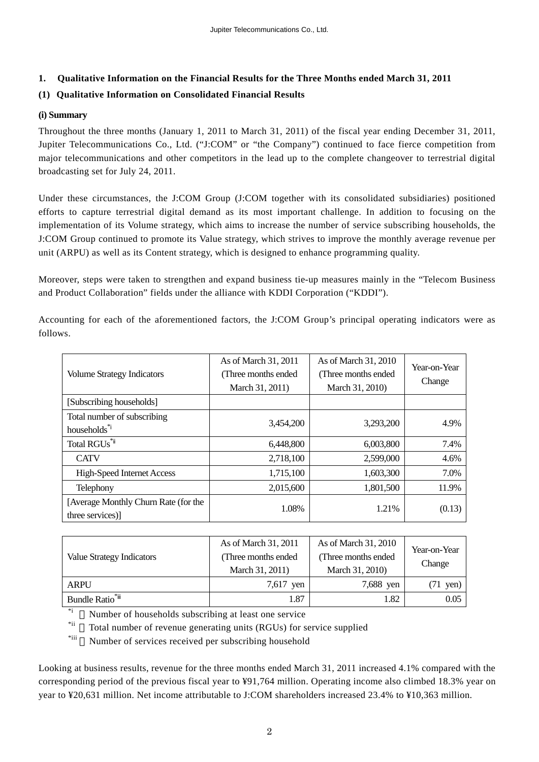### **1. Qualitative Information on the Financial Results for the Three Months ended March 31, 2011**

### **(1) Qualitative Information on Consolidated Financial Results**

#### **(i) Summary**

Throughout the three months (January 1, 2011 to March 31, 2011) of the fiscal year ending December 31, 2011, Jupiter Telecommunications Co., Ltd. ("J:COM" or "the Company") continued to face fierce competition from major telecommunications and other competitors in the lead up to the complete changeover to terrestrial digital broadcasting set for July 24, 2011.

Under these circumstances, the J:COM Group (J:COM together with its consolidated subsidiaries) positioned efforts to capture terrestrial digital demand as its most important challenge. In addition to focusing on the implementation of its Volume strategy, which aims to increase the number of service subscribing households, the J:COM Group continued to promote its Value strategy, which strives to improve the monthly average revenue per unit (ARPU) as well as its Content strategy, which is designed to enhance programming quality.

Moreover, steps were taken to strengthen and expand business tie-up measures mainly in the "Telecom Business and Product Collaboration" fields under the alliance with KDDI Corporation ("KDDI").

| <b>Volume Strategy Indicators</b>                       | As of March 31, 2011<br>(Three months ended<br>March 31, 2011) | As of March 31, 2010<br>(Three months ended<br>March 31, 2010) | Year-on-Year<br>Change |
|---------------------------------------------------------|----------------------------------------------------------------|----------------------------------------------------------------|------------------------|
| [Subscribing households]                                |                                                                |                                                                |                        |
| Total number of subscribing<br>households*              | 3,454,200                                                      | 3,293,200                                                      | 4.9%                   |
| Total RGUs <sup>*</sup>                                 | 6,448,800                                                      | 6,003,800                                                      | 7.4%                   |
| <b>CATV</b>                                             | 2,718,100                                                      | 2,599,000                                                      | 4.6%                   |
| <b>High-Speed Internet Access</b>                       | 1,715,100                                                      | 1,603,300                                                      | 7.0%                   |
| Telephony                                               | 2,015,600                                                      | 1,801,500                                                      | 11.9%                  |
| [Average Monthly Churn Rate (for the<br>three services) | 1.08%                                                          | 1.21%                                                          | (0.13)                 |

Accounting for each of the aforementioned factors, the J:COM Group's principal operating indicators were as follows.

| <b>Value Strategy Indicators</b> | As of March 31, 2011<br>(Three months ended)<br>March 31, 2011) | As of March 31, 2010<br>(Three months ended)<br>March 31, 2010) | Year-on-Year<br>Change |
|----------------------------------|-----------------------------------------------------------------|-----------------------------------------------------------------|------------------------|
| ARPU                             | $7,617$ yen                                                     | 7,688 yen                                                       | yen)                   |
| Bundle Ratio <sup>*</sup>        | 1.87                                                            | 1.82                                                            | 0.05                   |

Number of households subscribing at least one service

<sup>\*ii</sup> Total number of revenue generating units (RGUs) for service supplied<br><sup>\*iii</sup> Number of services assigned assemblantling handbald

Number of services received per subscribing household

Looking at business results, revenue for the three months ended March 31, 2011 increased 4.1% compared with the corresponding period of the previous fiscal year to ¥91,764 million. Operating income also climbed 18.3% year on year to ¥20,631 million. Net income attributable to J:COM shareholders increased 23.4% to ¥10,363 million.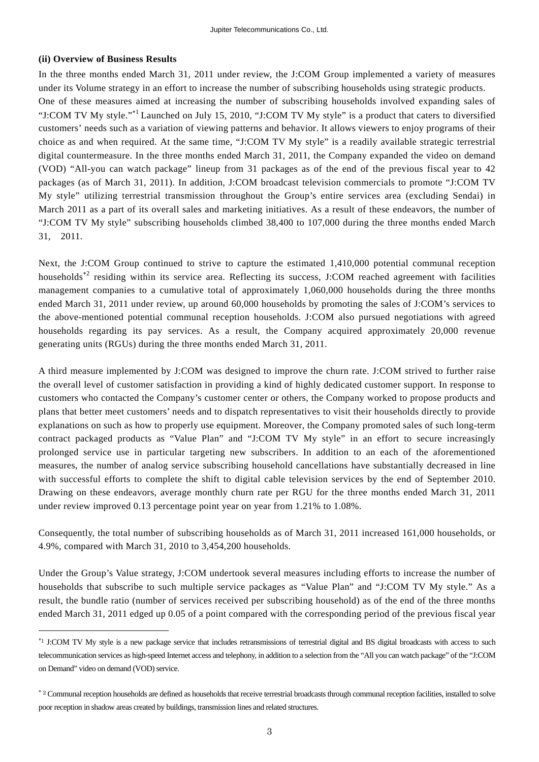#### **(ii) Overview of Business Results**

 $\overline{a}$ 

In the three months ended March 31, 2011 under review, the J:COM Group implemented a variety of measures under its Volume strategy in an effort to increase the number of subscribing households using strategic products.

One of these measures aimed at increasing the number of subscribing households involved expanding sales of "J:COM TV My style."<sup>\*1</sup> Launched on July 15, 2010, "J:COM TV My style" is a product that caters to diversified customers' needs such as a variation of viewing patterns and behavior. It allows viewers to enjoy programs of their choice as and when required. At the same time, "J:COM TV My style" is a readily available strategic terrestrial digital countermeasure. In the three months ended March 31, 2011, the Company expanded the video on demand (VOD) "All-you can watch package" lineup from 31 packages as of the end of the previous fiscal year to 42 packages (as of March 31, 2011). In addition, J:COM broadcast television commercials to promote "J:COM TV My style" utilizing terrestrial transmission throughout the Group's entire services area (excluding Sendai) in March 2011 as a part of its overall sales and marketing initiatives. As a result of these endeavors, the number of "J:COM TV My style" subscribing households climbed 38,400 to 107,000 during the three months ended March 31, 2011.

Next, the J:COM Group continued to strive to capture the estimated 1,410,000 potential communal reception households<sup>\*2</sup> residing within its service area. Reflecting its success, J:COM reached agreement with facilities management companies to a cumulative total of approximately 1,060,000 households during the three months ended March 31, 2011 under review, up around 60,000 households by promoting the sales of J:COM's services to the above-mentioned potential communal reception households. J:COM also pursued negotiations with agreed households regarding its pay services. As a result, the Company acquired approximately 20,000 revenue generating units (RGUs) during the three months ended March 31, 2011.

A third measure implemented by J:COM was designed to improve the churn rate. J:COM strived to further raise the overall level of customer satisfaction in providing a kind of highly dedicated customer support. In response to customers who contacted the Company's customer center or others, the Company worked to propose products and plans that better meet customers' needs and to dispatch representatives to visit their households directly to provide explanations on such as how to properly use equipment. Moreover, the Company promoted sales of such long-term contract packaged products as "Value Plan" and "J:COM TV My style" in an effort to secure increasingly prolonged service use in particular targeting new subscribers. In addition to an each of the aforementioned measures, the number of analog service subscribing household cancellations have substantially decreased in line with successful efforts to complete the shift to digital cable television services by the end of September 2010. Drawing on these endeavors, average monthly churn rate per RGU for the three months ended March 31, 2011 under review improved 0.13 percentage point year on year from 1.21% to 1.08%.

Consequently, the total number of subscribing households as of March 31, 2011 increased 161,000 households, or 4.9%, compared with March 31, 2010 to 3,454,200 households.

Under the Group's Value strategy, J:COM undertook several measures including efforts to increase the number of households that subscribe to such multiple service packages as "Value Plan" and "J:COM TV My style." As a result, the bundle ratio (number of services received per subscribing household) as of the end of the three months ended March 31, 2011 edged up 0.05 of a point compared with the corresponding period of the previous fiscal year

<sup>\*1</sup> J:COM TV My style is a new package service that includes retransmissions of terrestrial digital and BS digital broadcasts with access to such telecommunication services as high-speed Internet access and telephony, in addition to a selection from the "All you can watch package" of the "J:COM on Demand" video on demand (VOD) service.

<sup>\* 2</sup> Communal reception households are defined as households that receive terrestrial broadcasts through communal reception facilities, installed to solve poor reception in shadow areas created by buildings, transmission lines and related structures.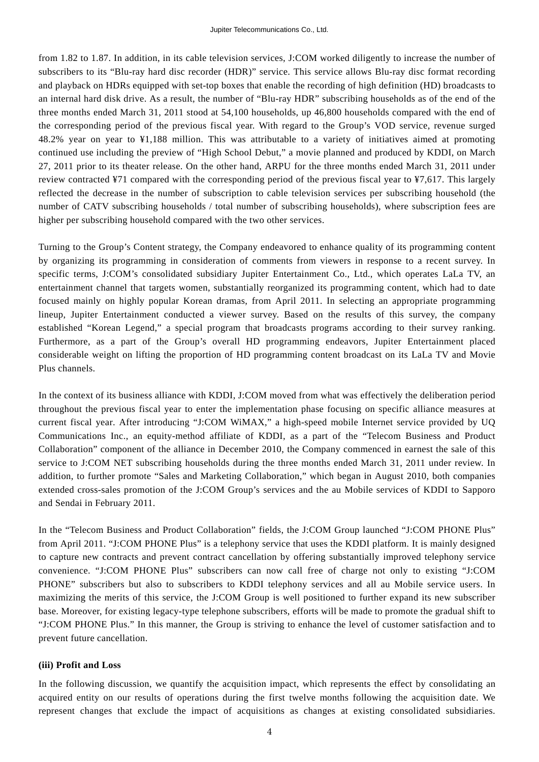from 1.82 to 1.87. In addition, in its cable television services, J:COM worked diligently to increase the number of subscribers to its "Blu-ray hard disc recorder (HDR)" service. This service allows Blu-ray disc format recording and playback on HDRs equipped with set-top boxes that enable the recording of high definition (HD) broadcasts to an internal hard disk drive. As a result, the number of "Blu-ray HDR" subscribing households as of the end of the three months ended March 31, 2011 stood at 54,100 households, up 46,800 households compared with the end of the corresponding period of the previous fiscal year. With regard to the Group's VOD service, revenue surged 48.2% year on year to ¥1,188 million. This was attributable to a variety of initiatives aimed at promoting continued use including the preview of "High School Debut," a movie planned and produced by KDDI, on March 27, 2011 prior to its theater release. On the other hand, ARPU for the three months ended March 31, 2011 under review contracted ¥71 compared with the corresponding period of the previous fiscal year to ¥7,617. This largely reflected the decrease in the number of subscription to cable television services per subscribing household (the number of CATV subscribing households / total number of subscribing households), where subscription fees are higher per subscribing household compared with the two other services.

Turning to the Group's Content strategy, the Company endeavored to enhance quality of its programming content by organizing its programming in consideration of comments from viewers in response to a recent survey. In specific terms, J:COM's consolidated subsidiary Jupiter Entertainment Co., Ltd., which operates LaLa TV, an entertainment channel that targets women, substantially reorganized its programming content, which had to date focused mainly on highly popular Korean dramas, from April 2011. In selecting an appropriate programming lineup, Jupiter Entertainment conducted a viewer survey. Based on the results of this survey, the company established "Korean Legend," a special program that broadcasts programs according to their survey ranking. Furthermore, as a part of the Group's overall HD programming endeavors, Jupiter Entertainment placed considerable weight on lifting the proportion of HD programming content broadcast on its LaLa TV and Movie Plus channels.

In the context of its business alliance with KDDI, J:COM moved from what was effectively the deliberation period throughout the previous fiscal year to enter the implementation phase focusing on specific alliance measures at current fiscal year. After introducing "J:COM WiMAX," a high-speed mobile Internet service provided by UQ Communications Inc., an equity-method affiliate of KDDI, as a part of the "Telecom Business and Product Collaboration" component of the alliance in December 2010, the Company commenced in earnest the sale of this service to J:COM NET subscribing households during the three months ended March 31, 2011 under review. In addition, to further promote "Sales and Marketing Collaboration," which began in August 2010, both companies extended cross-sales promotion of the J:COM Group's services and the au Mobile services of KDDI to Sapporo and Sendai in February 2011.

In the "Telecom Business and Product Collaboration" fields, the J:COM Group launched "J:COM PHONE Plus" from April 2011. "J:COM PHONE Plus" is a telephony service that uses the KDDI platform. It is mainly designed to capture new contracts and prevent contract cancellation by offering substantially improved telephony service convenience. "J:COM PHONE Plus" subscribers can now call free of charge not only to existing "J:COM PHONE" subscribers but also to subscribers to KDDI telephony services and all au Mobile service users. In maximizing the merits of this service, the J:COM Group is well positioned to further expand its new subscriber base. Moreover, for existing legacy-type telephone subscribers, efforts will be made to promote the gradual shift to "J:COM PHONE Plus." In this manner, the Group is striving to enhance the level of customer satisfaction and to prevent future cancellation.

#### **(iii) Profit and Loss**

In the following discussion, we quantify the acquisition impact, which represents the effect by consolidating an acquired entity on our results of operations during the first twelve months following the acquisition date. We represent changes that exclude the impact of acquisitions as changes at existing consolidated subsidiaries.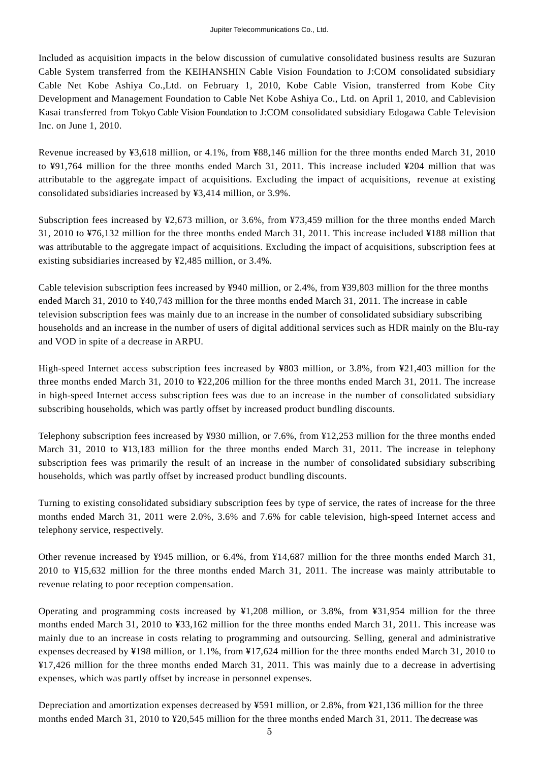Included as acquisition impacts in the below discussion of cumulative consolidated business results are Suzuran Cable System transferred from the KEIHANSHIN Cable Vision Foundation to J:COM consolidated subsidiary Cable Net Kobe Ashiya Co.,Ltd. on February 1, 2010, Kobe Cable Vision, transferred from Kobe City Development and Management Foundation to Cable Net Kobe Ashiya Co., Ltd. on April 1, 2010, and Cablevision Kasai transferred from Tokyo Cable Vision Foundation to J:COM consolidated subsidiary Edogawa Cable Television Inc. on June 1, 2010.

Revenue increased by ¥3,618 million, or 4.1%, from ¥88,146 million for the three months ended March 31, 2010 to ¥91,764 million for the three months ended March 31, 2011. This increase included ¥204 million that was attributable to the aggregate impact of acquisitions. Excluding the impact of acquisitions, revenue at existing consolidated subsidiaries increased by ¥3,414 million, or 3.9%.

Subscription fees increased by ¥2,673 million, or 3.6%, from ¥73,459 million for the three months ended March 31, 2010 to ¥76,132 million for the three months ended March 31, 2011. This increase included ¥188 million that was attributable to the aggregate impact of acquisitions. Excluding the impact of acquisitions, subscription fees at existing subsidiaries increased by ¥2,485 million, or 3.4%.

Cable television subscription fees increased by ¥940 million, or 2.4%, from ¥39,803 million for the three months ended March 31, 2010 to ¥40,743 million for the three months ended March 31, 2011. The increase in cable television subscription fees was mainly due to an increase in the number of consolidated subsidiary subscribing households and an increase in the number of users of digital additional services such as HDR mainly on the Blu-ray and VOD in spite of a decrease in ARPU.

High-speed Internet access subscription fees increased by ¥803 million, or 3.8%, from ¥21,403 million for the three months ended March 31, 2010 to ¥22,206 million for the three months ended March 31, 2011. The increase in high-speed Internet access subscription fees was due to an increase in the number of consolidated subsidiary subscribing households, which was partly offset by increased product bundling discounts.

Telephony subscription fees increased by ¥930 million, or 7.6%, from ¥12,253 million for the three months ended March 31, 2010 to ¥13,183 million for the three months ended March 31, 2011. The increase in telephony subscription fees was primarily the result of an increase in the number of consolidated subsidiary subscribing households, which was partly offset by increased product bundling discounts.

Turning to existing consolidated subsidiary subscription fees by type of service, the rates of increase for the three months ended March 31, 2011 were 2.0%, 3.6% and 7.6% for cable television, high-speed Internet access and telephony service, respectively.

Other revenue increased by ¥945 million, or 6.4%, from ¥14,687 million for the three months ended March 31, 2010 to ¥15,632 million for the three months ended March 31, 2011. The increase was mainly attributable to revenue relating to poor reception compensation.

Operating and programming costs increased by ¥1,208 million, or 3.8%, from ¥31,954 million for the three months ended March 31, 2010 to ¥33,162 million for the three months ended March 31, 2011. This increase was mainly due to an increase in costs relating to programming and outsourcing. Selling, general and administrative expenses decreased by ¥198 million, or 1.1%, from ¥17,624 million for the three months ended March 31, 2010 to ¥17,426 million for the three months ended March 31, 2011. This was mainly due to a decrease in advertising expenses, which was partly offset by increase in personnel expenses.

Depreciation and amortization expenses decreased by ¥591 million, or 2.8%, from ¥21,136 million for the three months ended March 31, 2010 to ¥20,545 million for the three months ended March 31, 2011. The decrease was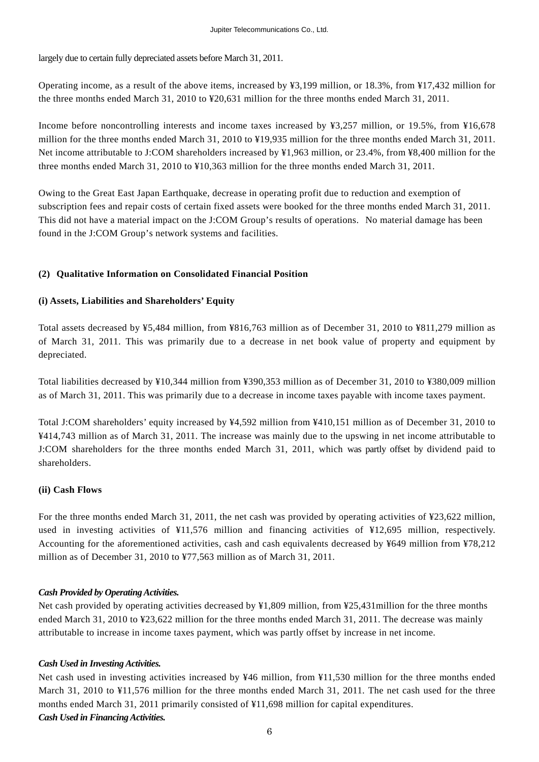largely due to certain fully depreciated assets before March 31, 2011.

Operating income, as a result of the above items, increased by ¥3,199 million, or 18.3%, from ¥17,432 million for the three months ended March 31, 2010 to ¥20,631 million for the three months ended March 31, 2011.

Income before noncontrolling interests and income taxes increased by ¥3,257 million, or 19.5%, from ¥16,678 million for the three months ended March 31, 2010 to ¥19,935 million for the three months ended March 31, 2011. Net income attributable to J:COM shareholders increased by ¥1,963 million, or 23.4%, from ¥8,400 million for the three months ended March 31, 2010 to ¥10,363 million for the three months ended March 31, 2011.

Owing to the Great East Japan Earthquake, decrease in operating profit due to reduction and exemption of subscription fees and repair costs of certain fixed assets were booked for the three months ended March 31, 2011. This did not have a material impact on the J:COM Group's results of operations. No material damage has been found in the J:COM Group's network systems and facilities.

#### **(2) Qualitative Information on Consolidated Financial Position**

#### **(i) Assets, Liabilities and Shareholders' Equity**

Total assets decreased by ¥5,484 million, from ¥816,763 million as of December 31, 2010 to ¥811,279 million as of March 31, 2011. This was primarily due to a decrease in net book value of property and equipment by depreciated.

Total liabilities decreased by ¥10,344 million from ¥390,353 million as of December 31, 2010 to ¥380,009 million as of March 31, 2011. This was primarily due to a decrease in income taxes payable with income taxes payment.

Total J:COM shareholders' equity increased by ¥4,592 million from ¥410,151 million as of December 31, 2010 to ¥414,743 million as of March 31, 2011. The increase was mainly due to the upswing in net income attributable to J:COM shareholders for the three months ended March 31, 2011, which was partly offset by dividend paid to shareholders.

#### **(ii) Cash Flows**

For the three months ended March 31, 2011, the net cash was provided by operating activities of ¥23,622 million, used in investing activities of ¥11,576 million and financing activities of ¥12,695 million, respectively. Accounting for the aforementioned activities, cash and cash equivalents decreased by ¥649 million from ¥78,212 million as of December 31, 2010 to ¥77,563 million as of March 31, 2011.

#### *Cash Provided by Operating Activities.*

Net cash provided by operating activities decreased by ¥1,809 million, from ¥25,431million for the three months ended March 31, 2010 to ¥23,622 million for the three months ended March 31, 2011. The decrease was mainly attributable to increase in income taxes payment, which was partly offset by increase in net income.

#### *Cash Used in Investing Activities.*

Net cash used in investing activities increased by ¥46 million, from ¥11,530 million for the three months ended March 31, 2010 to ¥11,576 million for the three months ended March 31, 2011. The net cash used for the three months ended March 31, 2011 primarily consisted of ¥11,698 million for capital expenditures. *Cash Used in Financing Activities.*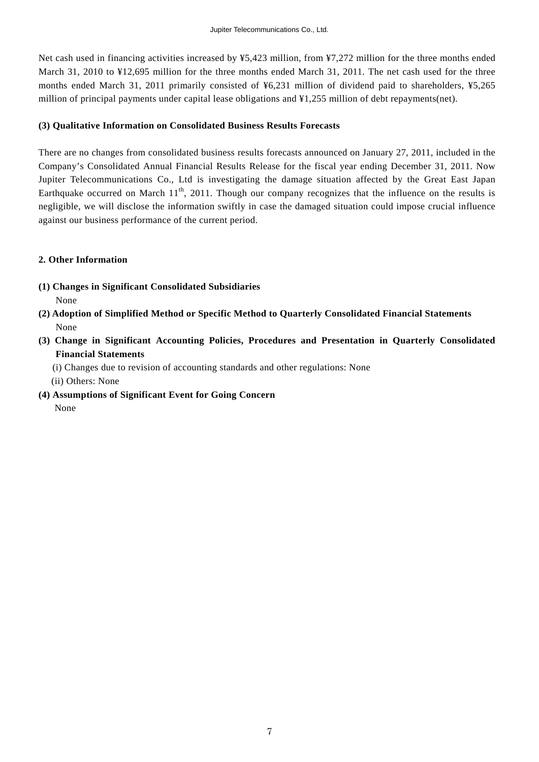Net cash used in financing activities increased by ¥5,423 million, from ¥7,272 million for the three months ended March 31, 2010 to ¥12,695 million for the three months ended March 31, 2011. The net cash used for the three months ended March 31, 2011 primarily consisted of ¥6,231 million of dividend paid to shareholders, ¥5,265 million of principal payments under capital lease obligations and ¥1,255 million of debt repayments(net).

#### **(3) Qualitative Information on Consolidated Business Results Forecasts**

There are no changes from consolidated business results forecasts announced on January 27, 2011, included in the Company's Consolidated Annual Financial Results Release for the fiscal year ending December 31, 2011. Now Jupiter Telecommunications Co., Ltd is investigating the damage situation affected by the Great East Japan Earthquake occurred on March  $11<sup>th</sup>$ , 2011. Though our company recognizes that the influence on the results is negligible, we will disclose the information swiftly in case the damaged situation could impose crucial influence against our business performance of the current period.

#### **2. Other Information**

- **(1) Changes in Significant Consolidated Subsidiaries**  None
- **(2) Adoption of Simplified Method or Specific Method to Quarterly Consolidated Financial Statements**  None
- **(3) Change in Significant Accounting Policies, Procedures and Presentation in Quarterly Consolidated Financial Statements**

(i) Changes due to revision of accounting standards and other regulations: None

(ii) Others: None

**(4) Assumptions of Significant Event for Going Concern** 

None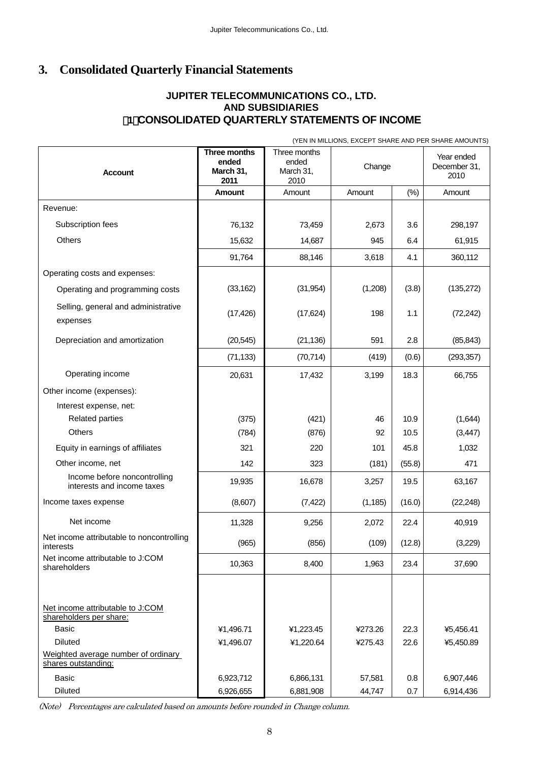# **3. Consolidated Quarterly Financial Statements**

## **JUPITER TELECOMMUNICATIONS CO., LTD. AND SUBSIDIARIES**  (**1**)**CONSOLIDATED QUARTERLY STATEMENTS OF INCOME**

(YEN IN MILLIONS, EXCEPT SHARE AND PER SHARE AMOUNTS)

| <b>Account</b>                                              | Three months<br>ended<br>March 31,<br>2011 | Three months<br>ended<br>March 31,<br>2010 | Change   |        | Year ended<br>December 31,<br>2010 |
|-------------------------------------------------------------|--------------------------------------------|--------------------------------------------|----------|--------|------------------------------------|
|                                                             | Amount                                     | Amount                                     | Amount   | $(\%)$ | Amount                             |
| Revenue:                                                    |                                            |                                            |          |        |                                    |
| Subscription fees                                           | 76,132                                     | 73,459                                     | 2,673    | 3.6    | 298,197                            |
| Others                                                      | 15,632                                     | 14,687                                     | 945      | 6.4    | 61,915                             |
|                                                             | 91,764                                     | 88,146                                     | 3,618    | 4.1    | 360,112                            |
| Operating costs and expenses:                               |                                            |                                            |          |        |                                    |
| Operating and programming costs                             | (33, 162)                                  | (31, 954)                                  | (1,208)  | (3.8)  | (135, 272)                         |
| Selling, general and administrative<br>expenses             | (17, 426)                                  | (17, 624)                                  | 198      | 1.1    | (72, 242)                          |
| Depreciation and amortization                               | (20, 545)                                  | (21, 136)                                  | 591      | 2.8    | (85, 843)                          |
|                                                             | (71, 133)                                  | (70, 714)                                  | (419)    | (0.6)  | (293, 357)                         |
| Operating income                                            | 20,631                                     | 17,432                                     | 3,199    | 18.3   | 66,755                             |
| Other income (expenses):                                    |                                            |                                            |          |        |                                    |
| Interest expense, net:                                      |                                            |                                            |          |        |                                    |
| <b>Related parties</b>                                      | (375)                                      | (421)                                      | 46       | 10.9   | (1,644)                            |
| <b>Others</b>                                               | (784)                                      | (876)                                      | 92       | 10.5   | (3, 447)                           |
| Equity in earnings of affiliates                            | 321                                        | 220                                        | 101      | 45.8   | 1,032                              |
| Other income, net                                           | 142                                        | 323                                        | (181)    | (55.8) | 471                                |
| Income before noncontrolling<br>interests and income taxes  | 19,935                                     | 16,678                                     | 3,257    | 19.5   | 63,167                             |
| Income taxes expense                                        | (8,607)                                    | (7, 422)                                   | (1, 185) | (16.0) | (22, 248)                          |
| Net income                                                  | 11,328                                     | 9,256                                      | 2,072    | 22.4   | 40,919                             |
| Net income attributable to noncontrolling<br>interests      | (965)                                      | (856)                                      | (109)    | (12.8) | (3,229)                            |
| Net income attributable to J:COM<br>shareholders            | 10,363                                     | 8,400                                      | 1,963    | 23.4   | 37,690                             |
|                                                             |                                            |                                            |          |        |                                    |
| Net income attributable to J:COM<br>shareholders per share: |                                            |                                            |          |        |                                    |
| <b>Basic</b>                                                | ¥1,496.71                                  | ¥1,223.45                                  | ¥273.26  | 22.3   | ¥5,456.41                          |
| <b>Diluted</b>                                              | ¥1,496.07                                  | ¥1,220.64                                  | ¥275.43  | 22.6   | ¥5,450.89                          |
| Weighted average number of ordinary<br>shares outstanding:  |                                            |                                            |          |        |                                    |
| <b>Basic</b>                                                | 6,923,712                                  | 6,866,131                                  | 57,581   | 0.8    | 6,907,446                          |
| Diluted                                                     | 6,926,655                                  | 6,881,908                                  | 44,747   | 0.7    | 6,914,436                          |

(Note) Percentages are calculated based on amounts before rounded in Change column.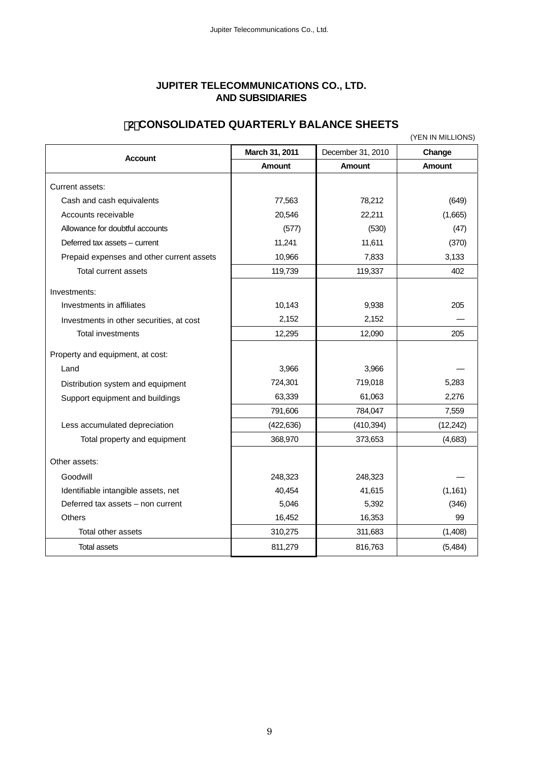## **JUPITER TELECOMMUNICATIONS CO., LTD. AND SUBSIDIARIES**

## (**2**)**CONSOLIDATED QUARTERLY BALANCE SHEETS**

(YEN IN MILLIONS)

|                                           | March 31, 2011 | December 31, 2010 | Change        |
|-------------------------------------------|----------------|-------------------|---------------|
| <b>Account</b>                            | <b>Amount</b>  | <b>Amount</b>     | <b>Amount</b> |
| Current assets:                           |                |                   |               |
| Cash and cash equivalents                 | 77,563         | 78,212            | (649)         |
| Accounts receivable                       | 20,546         | 22,211            | (1,665)       |
| Allowance for doubtful accounts           | (577)          | (530)             | (47)          |
| Deferred tax assets - current             | 11,241         | 11,611            | (370)         |
| Prepaid expenses and other current assets | 10,966         | 7,833             | 3,133         |
| Total current assets                      | 119,739        | 119,337           | 402           |
| Investments:                              |                |                   |               |
| Investments in affiliates                 | 10,143         | 9,938             | 205           |
| Investments in other securities, at cost  | 2,152          | 2,152             |               |
| <b>Total investments</b>                  | 12,295         | 12,090            | 205           |
| Property and equipment, at cost:          |                |                   |               |
| Land                                      | 3,966          | 3,966             |               |
| Distribution system and equipment         | 724,301        | 719,018           | 5,283         |
| Support equipment and buildings           | 63,339         | 61,063            | 2,276         |
|                                           | 791,606        | 784,047           | 7,559         |
| Less accumulated depreciation             | (422, 636)     | (410, 394)        | (12, 242)     |
| Total property and equipment              | 368,970        | 373,653           | (4,683)       |
| Other assets:                             |                |                   |               |
| Goodwill                                  | 248,323        | 248,323           |               |
| Identifiable intangible assets, net       | 40,454         | 41,615            | (1, 161)      |
| Deferred tax assets - non current         | 5,046          | 5,392             | (346)         |
| <b>Others</b>                             | 16,452         | 16,353            | 99            |
| Total other assets                        | 310,275        | 311,683           | (1,408)       |
| <b>Total assets</b>                       | 811,279        | 816,763           | (5,484)       |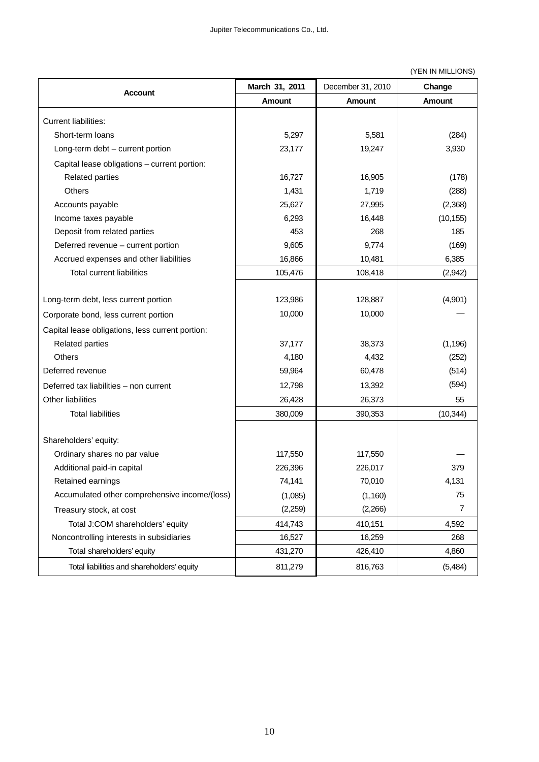#### (YEN IN MILLIONS)

| <b>Account</b>                                   | March 31, 2011 | December 31, 2010 | Change        |
|--------------------------------------------------|----------------|-------------------|---------------|
|                                                  | Amount         | <b>Amount</b>     | <b>Amount</b> |
| <b>Current liabilities:</b>                      |                |                   |               |
| Short-term loans                                 | 5,297          | 5,581             | (284)         |
| Long-term debt - current portion                 | 23,177         | 19,247            | 3,930         |
| Capital lease obligations - current portion:     |                |                   |               |
| <b>Related parties</b>                           | 16,727         | 16,905            | (178)         |
| Others                                           | 1,431          | 1,719             | (288)         |
| Accounts payable                                 | 25,627         | 27,995            | (2,368)       |
| Income taxes payable                             | 6,293          | 16,448            | (10, 155)     |
| Deposit from related parties                     | 453            | 268               | 185           |
| Deferred revenue - current portion               | 9,605          | 9,774             | (169)         |
| Accrued expenses and other liabilities           | 16,866         | 10,481            | 6,385         |
| <b>Total current liabilities</b>                 | 105,476        | 108,418           | (2,942)       |
|                                                  |                |                   |               |
| Long-term debt, less current portion             | 123,986        | 128,887           | (4,901)       |
| Corporate bond, less current portion             | 10,000         | 10,000            |               |
| Capital lease obligations, less current portion: |                |                   |               |
| <b>Related parties</b>                           | 37,177         | 38,373            | (1, 196)      |
| <b>Others</b>                                    | 4,180          | 4,432             | (252)         |
| Deferred revenue                                 | 59,964         | 60,478            | (514)         |
| Deferred tax liabilities - non current           | 12,798         | 13,392            | (594)         |
| Other liabilities                                | 26,428         | 26,373            | 55            |
| <b>Total liabilities</b>                         | 380,009        | 390,353           | (10, 344)     |
|                                                  |                |                   |               |
| Shareholders' equity:                            |                |                   |               |
| Ordinary shares no par value                     | 117,550        | 117,550           |               |
| Additional paid-in capital                       | 226,396        | 226,017           | 379           |
| Retained earnings                                | 74,141         | 70,010            | 4,131         |
| Accumulated other comprehensive income/(loss)    | (1,085)        | (1, 160)          | 75            |
| Treasury stock, at cost                          | (2,259)        | (2,266)           | 7             |
| Total J:COM shareholders' equity                 | 414,743        | 410,151           | 4,592         |
| Noncontrolling interests in subsidiaries         | 16,527         | 16,259            | 268           |
| Total shareholders' equity                       | 431,270        | 426,410           | 4,860         |
| Total liabilities and shareholders' equity       | 811,279        | 816,763           | (5,484)       |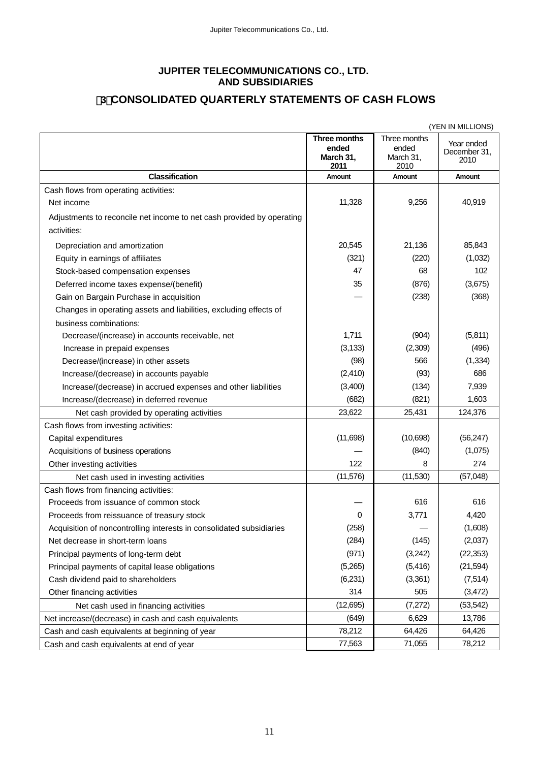#### **JUPITER TELECOMMUNICATIONS CO., LTD. AND SUBSIDIARIES**

# (**3**)**CONSOLIDATED QUARTERLY STATEMENTS OF CASH FLOWS**

|                                                                       | (YEN IN MILLIONS)                          |                                            |                                    |  |
|-----------------------------------------------------------------------|--------------------------------------------|--------------------------------------------|------------------------------------|--|
|                                                                       | Three months<br>ended<br>March 31,<br>2011 | Three months<br>ended<br>March 31,<br>2010 | Year ended<br>December 31.<br>2010 |  |
| <b>Classification</b>                                                 | Amount                                     | Amount                                     | Amount                             |  |
| Cash flows from operating activities:                                 |                                            |                                            |                                    |  |
| Net income                                                            | 11,328                                     | 9,256                                      | 40,919                             |  |
| Adjustments to reconcile net income to net cash provided by operating |                                            |                                            |                                    |  |
| activities:                                                           |                                            |                                            |                                    |  |
| Depreciation and amortization                                         | 20,545                                     | 21,136                                     | 85,843                             |  |
| Equity in earnings of affiliates                                      | (321)                                      | (220)                                      | (1,032)                            |  |
| Stock-based compensation expenses                                     | 47                                         | 68                                         | 102                                |  |
| Deferred income taxes expense/(benefit)                               | 35                                         | (876)                                      | (3,675)                            |  |
| Gain on Bargain Purchase in acquisition                               |                                            | (238)                                      | (368)                              |  |
| Changes in operating assets and liabilities, excluding effects of     |                                            |                                            |                                    |  |
| business combinations:                                                |                                            |                                            |                                    |  |
| Decrease/(increase) in accounts receivable, net                       | 1,711                                      | (904)                                      | (5,811)                            |  |
| Increase in prepaid expenses                                          | (3, 133)                                   | (2,309)                                    | (496)                              |  |
| Decrease/(increase) in other assets                                   | (98)                                       | 566                                        | (1, 334)                           |  |
| Increase/(decrease) in accounts payable                               | (2, 410)                                   | (93)                                       | 686                                |  |
| Increase/(decrease) in accrued expenses and other liabilities         | (3,400)                                    | (134)                                      | 7,939                              |  |
| Increase/(decrease) in deferred revenue                               | (682)                                      | (821)                                      | 1,603                              |  |
| Net cash provided by operating activities                             | 23,622                                     | 25,431                                     | 124,376                            |  |
| Cash flows from investing activities:                                 |                                            |                                            |                                    |  |
| Capital expenditures                                                  | (11,698)                                   | (10,698)                                   | (56, 247)                          |  |
| Acquisitions of business operations                                   |                                            | (840)                                      | (1,075)                            |  |
| Other investing activities                                            | 122                                        | 8                                          | 274                                |  |
| Net cash used in investing activities                                 | (11, 576)                                  | (11,530)                                   | (57,048)                           |  |
| Cash flows from financing activities:                                 |                                            |                                            |                                    |  |
| Proceeds from issuance of common stock                                |                                            | 616                                        | 616                                |  |
| Proceeds from reissuance of treasury stock                            | 0                                          | 3,771                                      | 4,420                              |  |
| Acquisition of noncontrolling interests in consolidated subsidiaries  | (258)                                      |                                            | (1,608)                            |  |
| Net decrease in short-term loans                                      | (284)                                      | (145)                                      | (2,037)                            |  |
| Principal payments of long-term debt                                  | (971)                                      | (3,242)                                    | (22, 353)                          |  |
| Principal payments of capital lease obligations                       | (5,265)                                    | (5, 416)                                   | (21, 594)                          |  |
| Cash dividend paid to shareholders                                    | (6,231)                                    | (3,361)                                    | (7, 514)                           |  |
| Other financing activities                                            | 314                                        | 505                                        | (3, 472)                           |  |
| Net cash used in financing activities                                 | (12,695)                                   | (7, 272)                                   | (53, 542)                          |  |
| Net increase/(decrease) in cash and cash equivalents                  | (649)                                      | 6,629                                      | 13,786                             |  |
| Cash and cash equivalents at beginning of year                        | 78,212                                     | 64,426                                     | 64,426                             |  |
| Cash and cash equivalents at end of year                              | 77,563                                     | 71,055                                     | 78,212                             |  |